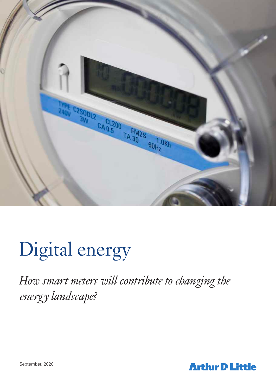

# Digital energy

*How smart meters will contribute to changing the energy landscape?*

September, 2020

**Arthir D Little**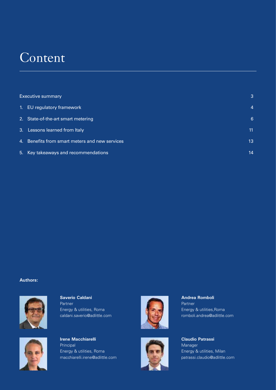## **Content**

| <b>Executive summary</b> |                                                |    |
|--------------------------|------------------------------------------------|----|
|                          | 1. EU regulatory framework                     | 4  |
|                          | 2. State-of-the-art smart metering             | 6  |
|                          | 3. Lessons learned from Italy                  | 11 |
|                          | 4. Benefits from smart meters and new services | 13 |
|                          | 5. Key takeaways and recommendations           | 14 |

### **Authors:**







**Irene Macchiarelli** Principal Energy & utilities, Roma macchiarelli.irene@adlittle.com





**Andrea Romboli** Partner Energy & utilities,Roma romboli.andrea@adlittle.com

### **Claudio Patrassi** Manager Energy & utilities, Milan patrassi.claudio@adlittle.com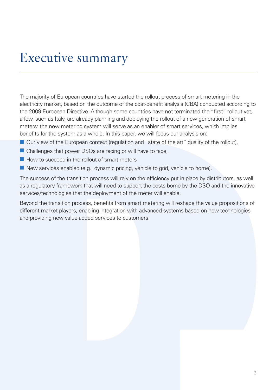## Executive summary

The majority of European countries have started the rollout process of smart metering in the electricity market, based on the outcome of the cost-benefit analysis (CBA) conducted according to the 2009 European Directive. Although some countries have not terminated the "first" rollout yet, a few, such as Italy, are already planning and deploying the rollout of a new generation of smart meters: the new metering system will serve as an enabler of smart services, which implies benefits for the system as a whole. In this paper, we will focus our analysis on:

- $\blacksquare$  Our view of the European context (regulation and "state of the art" quality of the rollout),
- $\blacksquare$  Challenges that power DSOs are facing or will have to face,
- $\blacksquare$  How to succeed in the rollout of smart meters
- $\blacksquare$  New services enabled (e.g., dynamic pricing, vehicle to grid, vehicle to home).

The success of the transition process will rely on the efficiency put in place by distributors, as well as a regulatory framework that will need to support the costs borne by the DSO and the innovative services/technologies that the deployment of the meter will enable.

Beyond the transition process, benefits from smart metering will reshape the value propositions of different market players, enabling integration with advanced systems based on new technologies and providing new value-added services to customers.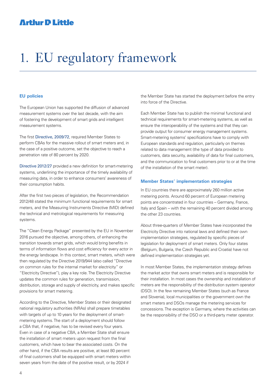## 1. EU regulatory framework

#### **EU policies**

The European Union has supported the diffusion of advanced measurement systems over the last decade, with the aim of fostering the development of smart grids and intelligent measurement systems.

The first Directive, 2009/72, required Member States to perform CBAs for the massive rollout of smart meters and, in the case of a positive outcome, set the objective to reach a penetration rate of 80 percent by 2020.

Directive 2012/27 provided a new definition for smart-metering systems, underlining the importance of the timely availability of measuring data, in order to enhance consumers' awareness of their consumption habits.

After the first two pieces of legislation, the Recommendation 2012/48 stated the minimum functional requirements for smart meters, and the Measuring Instruments Directive (MID) defined the technical and metrological requirements for measuring systems.

The "Clean Energy Package" presented by the EU in November 2016 pursued the objective, among others, of enhancing the transition towards smart grids, which would bring benefits in terms of information flows and cost efficiency for every actor in the energy landscape. In this context, smart meters, which were then regulated by the Directive 2019/944 (also called "Directive on common rules for the internal market for electricity" or "Electricity Directive"), play a key role. The Electricity Directive updates the common rules for generation, transmission, distribution, storage and supply of electricity, and makes specific provisions for smart metering.

According to the Directive, Member States or their designated national regulatory authorities (NRAs) shall prepare timetables with targets of up to 10 years for the deployment of smartmetering systems. The start of a deployment should follow a CBA that, if negative, has to be revised every four years. Even in case of a negative CBA, a Member State shall ensure the installation of smart meters upon request from the final customers, which have to bear the associated costs. On the other hand, if the CBA results are positive, at least 80 percent of final customers shall be equipped with smart meters within seven years from the date of the positive result, or by 2024 if

the Member State has started the deployment before the entry into force of the Directive.

Each Member State has to publish the minimal functional and technical requirements for smart-metering systems, as well as ensure the interoperability of the systems and that they can provide output for consumer energy management systems. Smart-metering systems' specifications have to comply with European standards and regulation, particularly on themes related to data management (the type of data provided to customers, data security, availability of data for final customers, and the communication to final customers prior to or at the time of the installation of the smart meter).

### **Member States' implementation strategies**

In EU countries there are approximately 260 million active metering points. Around 60 percent of European metering points are concentrated in four countries – Germany, France, Italy and Spain – with the remaining 40 percent divided among the other 23 countries.

About three-quarters of Member States have incorporated the Electricity Directive into national laws and defined their own implementation strategies, regulated by specific pieces of legislation for deployment of smart meters. Only four states (Belgium, Bulgaria, the Czech Republic and Croatia) have not defined implementation strategies yet.

In most Member States, the implementation strategy defines the market actor that owns smart meters and is responsible for their installation. In most cases the ownership and installation of meters are the responsibility of the distribution system operator (DSO). In the few remaining Member States (such as France and Slovenia), local municipalities or the government own the smart meters and DSOs manage the metering services for concessions. The exception is Germany, where the activities can be the responsibility of the DSO or a third-party meter operator.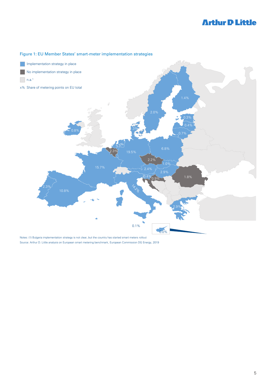### Figure 1: EU Member States' smart-meter implementation strategies



Notes: (1) Bulgaria implementation strategy is not clear, but the country has started smart meters rollout Source: Arthur D. Little analysis on European smart metering benchmark, European Commission DG Energy, 2019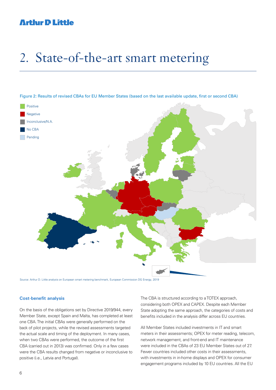## 2. State-of-the-art smart metering

#### Figure 2: Results of revised CBAs for EU Member States (based on the last available update, first or second CBA)



Source: Arthur D. Little analysis on European smart metering benchmark, European Commission DG Energy, 2019

#### **Cost-benefit analysis**

On the basis of the obligations set by Directive 2019/944, every Member State, except Spain and Malta, has completed at least one CBA. The initial CBAs were generally performed on the back of pilot projects, while the revised assessments targeted the actual scale and timing of the deployment. In many cases, when two CBAs were performed, the outcome of the first CBA (carried out in 2013) was confirmed. Only in a few cases were the CBA results changed from negative or inconclusive to positive (i.e., Latvia and Portugal).

The CBA is structured according to a TOTEX approach, considering both OPEX and CAPEX. Despite each Member State adopting the same approach, the categories of costs and benefits included in the analysis differ across EU countries.

All Member States included investments in IT and smart meters in their assessments; OPEX for meter reading, telecom, network management, and front-end and IT maintenance were included in the CBAs of 23 EU Member States out of 27. Fewer countries included other costs in their assessments, with investments in in-home displays and OPEX for consumer engagement programs included by 10 EU countries. All the EU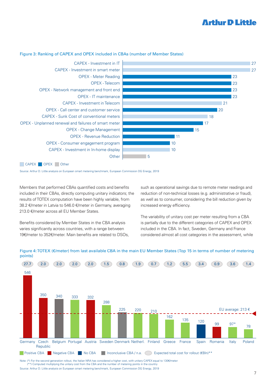

### Figure 3: Ranking of CAPEX and OPEX included in CBAs (number of Member States)

Source: Arthur D. Little analysis on European smart metering benchmark, European Commission DG Energy, 2019

Members that performed CBAs quantified costs and benefits included in their CBAs, directly computing unitary indicators; the results of TOTEX computation have been highly variable, from 38.2 €/meter in Latvia to 546.0 €/meter in Germany, averaging 213.0 €/meter across all EU Member States.

Benefits considered by Member States in the CBA analysis varies significantly across countries, with a range between 19€/meter to 352€/meter. Main benefits are related to DSOs, such as operational savings due to remote meter readings and reduction of non-technical losses (e.g. administrative or fraud), as well as to consumer, considering the bill reduction given by increased energy efficiency.

The variability of unitary cost per meter resulting from a CBA is partially due to the different categories of CAPEX and OPEX included in the CBA. In fact, Sweden, Germany and France considered almost all cost categories in the assessment, while



Figure 4: TOTEX (€/meter) from last available CBA in the main EU Member States (Top 15 in terms of number of metering points)

Note: (\*) For the second generation rollout, the Italian NRA has considered a higher cost, with unitary CAPEX equal to 130€/meter (\*\*) Computed multiplying the unitary cost from the CBA and the number of metering points in the country Source: Arthur D. Little analysis on European smart metering benchmark, European Commission DG Energy, 2019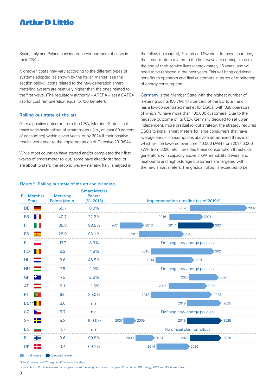Spain, Italy and Poland considered lower numbers of costs in their CBAs.

Moreover, costs may vary according to the different types of systems adopted: as shown by the Italian market (see the section below), costs related to the new-generation smartmetering system are relatively higher than the ones related to the first wave. (The regulatory authority – ARERA – set a CAPEX cap for cost remuneration equal to 130  $\epsilon$ /meter).

### **Rolling out state of the art**

After a positive outcome from the CBA, Member States shall reach wide-scale rollout of smart meters (i.e., at least 80 percent of consumers) within seven years, or by 2024 if their positive results were prior to the implementation of Directive 2019/944.

While most countries have started and/or completed their first waves of smart-meter rollout, some have already started, or are about to start, the second wave – namely, Italy (analyzed in

Figure 5: Rolling out state of the art and planning

the following chapter), Finland and Sweden. In these countries, the smart meters related to the first wave are coming close to the end of their service lives (approximately 15 years) and will need to be replaced in the next years. This will bring additional benefits to operators and final customers in terms of monitoring of energy consumption.

Germany is the Member State with the highest number of metering points (50.7M, 17.5 percent of the EU total), and has a low-concentrated market for DSOs, with 880 operators, of which 75 have more than 100,000 customers. Due to the negative outcome of its CBA, Germany decided to set up an independent, more gradual rollout strategy: the strategy requires DSOs to install smart meters for large consumers that have average annual consumptions above a determined threshold, which will be lowered over time (10,000 kWH from 2017, 6,000 kWH from 2020, etc.). Besides these consumption thresholds, generators with capacity above 7 kW, e-mobility drivers, and heat-pump and night-storage customers are targeted with the new smart meters. The gradual rollout is expected to be

| <b>EU Member</b><br><b>State</b> | <b>Metering</b><br>Points (#mln) | <b>Smart Meters</b><br>Penetr.<br>(% 2018) | Implementation timeline (as of 2019)* |      |      |                              |      |      |
|----------------------------------|----------------------------------|--------------------------------------------|---------------------------------------|------|------|------------------------------|------|------|
| DE                               | 50.7                             | 0.0%                                       |                                       |      |      | 2020                         |      | 2032 |
| FR                               | 40.7                             | 22.2%                                      |                                       |      | 2016 |                              | 2021 |      |
| IT                               | 36.8                             | 98.5%                                      | 2001                                  | 2012 | 2017 |                              | 2024 |      |
| ES                               | 28.0                             | 93.1%                                      | 2011                                  |      |      | 2018                         |      |      |
| PL                               | 17.7                             | 8.3%                                       | Defining new energy policies          |      |      |                              |      |      |
| <b>RO</b>                        | 9.2                              | 4.8%                                       |                                       | 2013 |      |                              | 2024 |      |
| <b>NL</b>                        | 8.6                              | 46.5%                                      |                                       | 2014 |      | 2020                         |      |      |
| HU                               | 7.5                              | 1.0%                                       | Defining new energy policies          |      |      |                              |      |      |
| GR<br>≔                          | 7.5                              | 2.6%                                       |                                       |      |      | 2020                         | 202X |      |
| AT                               | 6.1                              | 11.8%                                      |                                       |      | 2016 |                              | 2022 |      |
| PT                               | 6.0                              | 25.0%                                      |                                       | 2013 |      |                              | 2023 |      |
| BE                               | 6.0                              | n.a.                                       |                                       |      |      | 2019                         | 2025 |      |
| CZ                               | 5.7                              | n.a.                                       |                                       |      |      | Defining new energy policies |      |      |
| <b>SE</b>                        | 5.3                              | 100.0%                                     | 2003                                  | 2009 |      | 2019                         | 2025 |      |
| <b>BG</b>                        | 4.7                              | n.a.                                       |                                       |      |      | No official plan for rollout |      |      |
| F <sub>1</sub>                   | 3.6                              | 99.8%                                      | 2009                                  |      | 2013 | 2020                         | 2025 |      |
| DK                               | 3.4                              | 69.1%                                      |                                       | 2014 |      | 2020                         |      |      |

**First wave** Second wave

Note: (\*) related to B2C segment(\*\*) only in Flanders

Source: Arthur D. Little analysis on European smart metering benchmark, European Commission DG Energy, 2019 and DSOs websites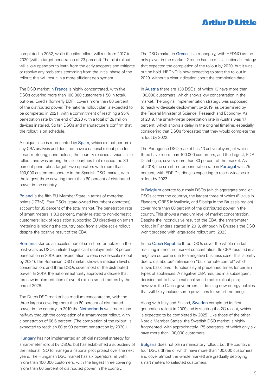completed in 2032, while the pilot rollout will run from 2017 to 2020 (with a target penetration of 23 percent). The pilot rollout will allow operators to learn from the early adopters and mitigate or resolve any problems stemming from the initial phase of the rollout; this will result in a more efficient deployment.

The DSO market in France is highly concentrated, with five DSOs covering more than 100,000 customers (158 in total), but one, Enedis (formerly EDF), covers more than 80 percent of the distributed power. The national rollout plan is expected to be completed in 2021, with a commitment of reaching a 95% penetration rate by the end of 2020 with a total of 28 million devices installed. So far, DSOs and manufacturers confirm that the rollout is on schedule.

A unique case is represented by Spain, which did not perform any CBA analysis and does not have a national rollout plan for smart metering; nonetheless, the country reached a wide-scale rollout, and was among the six countries that reached the 80 percent penetration target. Five operators with more than 100,000 customers operate in the Spanish DSO market, with the largest three covering more than 60 percent of distributed power in the country.

Poland is the fifth EU Member State in terms of metering points (17.7M). Four DSOs (state-owned incumbent operators) account for 85 percent of the total market. The penetration rate of smart meters is 8.3 percent, mainly related to non-domestic customers: lack of legislation supporting EU directives on smart metering is holding the country back from a wide-scale rollout despite the positive result of the CBA.

Romania started an acceleration of smart-meter uptake in the past years as DSOs initiated significant deployments (8 percent penetration in 2019, and expectation to reach wide-scale rollout by 2024). The Romanian DSO market shows a medium level of concentration, and three DSOs cover most of the distributed power. In 2019, the national authority approved a decree that foresaw implementation of over 4 million smart meters by the end of 2028.

The Dutch DSO market has medium concentration, with the three largest covering more than 60 percent of distributed power in the country. In 2019 the Netherlands was more than halfway through the completion of a smart-meter rollout, with a penetration of 66.6 percent. (The completion of the rollout is expected to reach an 80 to 90 percent penetration by 2020.)

Hungary has not implemented an official national strategy for smart-meter rollout by DSOs, but has established a subsidiary of the national TSO to manage a national pilot project over the next years. The Hungarian DSO market has six operators, all with more than 100,000 customers, with the largest three covering more than 60 percent of distributed power in the country.

The DSO market in Greece is a monopoly, with HEDNO as the only player in the market. Greece had an official national strategy that expected the completion of the rollout by 2020, but it was put on hold. HEDNO is now expecting to start the rollout in 2020, without a clear indication about the completion date.

In Austria there are 138 DSOs, of which 13 have more than 100,000 customers, which shows low concentration in the market. The original implementation strategy was supposed to reach wide-scale deployment by 2019, as determined by the Federal Minister of Science, Research and Economy. As of 2019, the smart-meter penetration rate in Austria was 17 percent, which shows a delay in the original timeline, especially considering that DSOs forecasted that they would complete the rollout by 2022.

The Portuguese DSO market has 13 active players, of which three have more than 100,000 customers, and the largest, EDP Distribuçao, covers more than 80 percent of the market. As of 2018, the smart-meter penetration rate in Portugal was 25 percent, with EDP Distribuçao expecting to reach wide-scale rollout by 2023.

In Belgium operate four main DSOs (which aggregate smaller DSOs across the country), the largest three of which (Fluvius in Flanders, ORES in Wallonia, and Sibelga in the Brussels region) cover more than 60 percent of the distributed power in the country. This shows a medium level of market concentration. Despite the inconclusive result of the CBA, the smart-meter rollout in Flanders started in 2019, although in Brussels the DSO won't proceed with large-scale rollout until 2023.

In the Czech Republic three DSOs cover the whole market. resulting in medium market concentration. Its CBA resulted in a negative outcome due to a negative business case. This is partly due to distributors' reliance on "bulk remote control", which allows basic on/off functionality at predefined times for certain types of appliances. A negative CBA resulted in a subsequent decision not to have a national smart-meter rollout plan; however, the Czech government is defining new energy policies that will likely include some provisions for smart metering.

Along with Italy and Finland, Sweden completed its firstgeneration rollout in 2009 and is starting the 2G rollout, which is expected to be completed by 2025. Like those of the other Nordic Member States, the Swedish DSO market is highly fragmented, with approximately 175 operators, of which only six have more than 100,000 customers.

Bulgaria does not plan a mandatory rollout, but the country's four DSOs (three of which have more than 100,000 customers and cover almost the whole market) are gradually deploying smart meters to selected customers.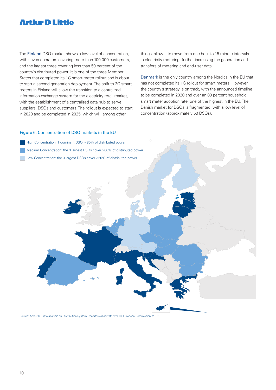The Finland DSO market shows a low level of concentration, with seven operators covering more than 100,000 customers, and the largest three covering less than 50 percent of the country's distributed power. It is one of the three Member States that completed its 1G smart-meter rollout and is about to start a second-generation deployment. The shift to 2G smart meters in Finland will allow the transition to a centralized information-exchange system for the electricity retail market, with the establishment of a centralized data hub to serve suppliers, DSOs and customers. The rollout is expected to start in 2020 and be completed in 2025, which will, among other

things, allow it to move from one-hour to 15-minute intervals in electricity metering, further increasing the generation and transfers of metering and end-user data.

Denmark is the only country among the Nordics in the EU that has not completed its 1G rollout for smart meters. However, the country's strategy is on track, with the announced timeline to be completed in 2020 and over an 80 percent household smart meter adoption rate, one of the highest in the EU. The Danish market for DSOs is fragmented, with a low level of concentration (approximately 50 DSOs).

### Figure 6: Concentration of DSO markets in the EU



Source: Arthur D. Little analysis on Distribution System Operators observatory 2018, European Commission, 2019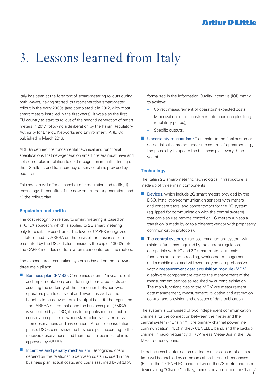## 3. Lessons learned from Italy

Italy has been at the forefront of smart-metering rollouts during both waves, having started its first-generation smart-meter rollout in the early 2000s (and completed it in 2012, with most smart meters installed in the first years). It was also the first EU country to start its rollout of the second generation of smart meters in 2017, following a deliberation by the Italian Regulatory Authority for Energy, Networks and Environment (ARERA) published in March 2016.

ARERA defined the fundamental technical and functional specifications that new-generation smart meters must have and set some rules in relation to cost recognition in tariffs, timing of the 2G rollout, and transparency of service plans provided by operators.

This section will offer a snapshot of i) regulation and tariffs, ii) technology, iii) benefits of the new smart-meter generation, and iv) the rollout plan.

### **Regulation and tariffs**

The cost recognition related to smart metering is based on a TOTEX approach, which is applied to 2G smart metering only for capital expenditures. The level of CAPEX recognized is determined by ARERA on the basis of the business plan presented by the DSO. It also considers the cap of 130 €/meter. The CAPEX includes central system, concentrators and meters.

The expenditures recognition system is based on the following three main pillars:

- Business plan (PMS2): Companies submit 15-year rollout and implementation plans, defining the related costs and assuring the certainty of the connection between what operators plan to carry out and invest, as well as the benefits to be derived from it (output based). The regulation from ARERA states that once the business plan (PMS2) is submitted by a DSO, it has to be published for a public consultation phase, in which stakeholders may express their observations and any concern. After the consultation phase, DSOs can review the business plan according to the received observations, and then the final business plan is approved by ARERA.
- Incentive and penalty mechanism: Recognized costs depend on the relationship between costs included in the business plan, actual costs, and costs assumed by ARERA

formalized in the Information Quality Incentive (IQI) matrix, to achieve:

- Correct measurement of operators' expected costs,
- Minimization of total costs (ex ante approach plus long regulatory period),
- Specific outputs.
- $\blacksquare$  Uncertainty mechanism: To transfer to the final customer some risks that are not under the control of operators (e.g., the possibility to update the business plan every three years).

#### **Technology**

The Italian 2G smart-metering technological infrastructure is made up of three main components:

- $\blacksquare$  Devices, which include 2G smart meters provided by the DSO, installation/communication sensors with meters and concentrators, and concentrators for the 2G system (equipped for communication with the central system) that can also use remote control on 1G meters (unless a transition is made by or to a different vendor with proprietary communication protocols).
- $\blacksquare$  The central system, a remote management system with minimal functions required by the current regulation, compatible with 1G and 2G smart meters. Its main functions are remote reading, work-order management and a mobile app, and will eventually be comprehensive with a measurement data acquisition module (MDM), a software component related to the management of the measurement service as required by current legislation. The main functionalities of the MDM are measurement data management, measurement validation and estimation control, and provision and dispatch of data publication.

The system is comprised of two independent communication channels for the connection between the meter and the central system ("Chain 1"): the primary channel power line communication (PLC) in the A CENELEC band, and the backup channel in radio frequency (RF) Wireless Meter-Bus in the 169 MHz frequency band.

device along "Chain 2". In Italy, there is no application for Chain 2<br>11 Direct access to information related to user consumption in real time will be enabled by communication through frequencies (PLC in the C CENELEC band) between the 2G meter and user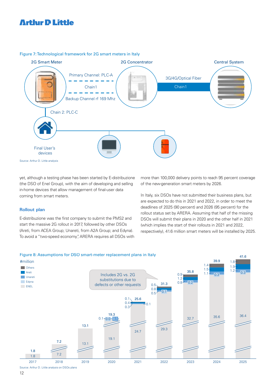### Figure 7: Technological framework for 2G smart meters in Italy



yet, although a testing phase has been started by E-distribuzione (the DSO of Enel Group), with the aim of developing and selling in-home devices that allow management of final-user data coming from smart meters.

### **Rollout plan**

E-distribuzione was the first company to submit the PMS2 and start the massive 2G rollout in 2017, followed by other DSOs (Areti, from ACEA Group; Unareti, from A2A Group; and Edyna). To avoid a "two-speed economy", ARERA requires all DSOs with

more than 100,000 delivery points to reach 95 percent coverage of the new-generation smart meters by 2026.

In Italy, six DSOs have not submitted their business plans, but are expected to do this in 2021 and 2022, in order to meet the deadlines of 2025 (90 percent) and 2026 (95 percent) for the rollout status set by ARERA. Assuming that half of the missing DSOs will submit their plans in 2020 and the other half in 2021 (which implies the start of their rollouts in 2021 and 2022, respectively), 41.6 million smart meters will be installed by 2025.

### Figure 8: Assumptions for DSO smart-meter replacement plans in Italy

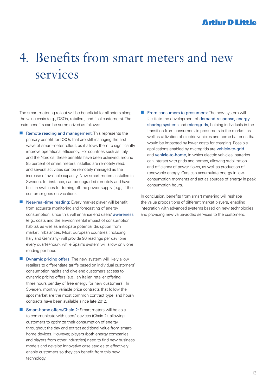## 4. Benefits from smart meters and new services

The smart-metering rollout will be beneficial for all actors along the value chain (e.g., DSOs, retailers, and final customers). The main benefits can be summarized as follows:

- $\blacksquare$  Remote reading and management: This represents the primary benefit for DSOs that are still managing the first wave of smart-meter rollout, as it allows them to significantly improve operational efficiency. For countries such as Italy and the Nordics, these benefits have been achieved: around 95 percent of smart meters installed are remotely read, and several activities can be remotely managed as the increase of available capacity. New smart meters installed in Sweden, for instance, can be upgraded remotely and have built-in switches for turning off the power supply (e.g., if the customer goes on vacation).
- $\blacksquare$  Near-real-time reading: Every market player will benefit from accurate monitoring and forecasting of energy consumption, since this will enhance end users' awareness (e.g., costs and the environmental impact of consumption habits), as well as anticipate potential disruption from market imbalances. Most European countries (including Italy and Germany) will provide 96 readings per day (one every quarter-hour), while Spain's system will allow only one reading per hour.
- Dynamic pricing offers: The new system will likely allow retailers to differentiate tariffs based on individual customers' consumption habits and give end customers access to dynamic pricing offers (e.g., an Italian retailer offering three hours per day of free energy for new customers). In Sweden, monthly variable price contracts that follow the spot market are the most common contract type, and hourly contracts have been available since late 2012.

■ Smart-home offers/Chain 2: Smart meters will be able to communicate with users' devices (Chain 2), allowing customers to optimize their consumption of energy throughout the day and extract additional value from smarthome devices. However, players (both energy companies and players from other industries) need to find new business models and develop innovative case studies to effectively enable customers so they can benefit from this new technology.

 $\blacksquare$  From consumers to prosumers: The new system will facilitate the development of demand-response, energysharing systems and microgrids, helping individuals in the transition from consumers to prosumers in the market, as well as utilization of electric vehicles and home batteries that would be impacted by lower costs for charging. Possible applications enabled by microgrids are vehicle-to-grid and vehicle-to-home, in which electric vehicles' batteries can interact with grids and homes, allowing stabilization and efficiency of power flows, as well as production of renewable energy. Cars can accumulate energy in lowconsumption moments and act as sources of energy in peak consumption hours.

In conclusion, benefits from smart metering will reshape the value propositions of different market players, enabling integration with advanced systems based on new technologies and providing new value-added services to the customers.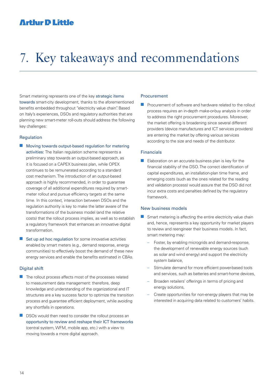## 7. Key takeaways and recommendations

Smart metering represents one of the key strategic items towards smart-city development, thanks to the aforementioned benefits embedded throughout "electricity value chain". Based on Italy's experiences, DSOs and regulatory authorities that are planning new smart-meter roll-outs should address the following key challenges:

### Regulation

- $\blacksquare$  Moving towards output-based regulation for metering activities: The Italian regulation scheme represents a preliminary step towards an output-based approach, as it is focused on a CAPEX business plan, while OPEX continues to be remunerated according to a standard cost mechanism. The introduction of an output-based approach is highly recommended, in order to guarantee coverage of all additional expenditures required by smartmeter rollout and pursue efficiency targets at the same time. In this context, interaction between DSOs and the regulation authority is key to make the latter aware of the transformations of the business model (and the relative costs) that the rollout process implies, as well as to establish a regulatory framework that enhances an innovative digital transformation.
- $\blacksquare$  Set up ad hoc regulation for some innovative activities enabled by smart meters (e.g., demand response, energy communities) to effectively boost the demand of these new energy services and enable the benefits estimated in CBAs.

#### Digital shift

- $\blacksquare$  The rollout process affects most of the processes related to measurement data management: therefore, deep knowledge and understanding of the organizational and IT structures are a key success factor to optimize the transition process and guarantee efficient deployment, while avoiding any shortfalls in operations.
- $\Box$  DSOs would then need to consider the rollout process an opportunity to review and reshape their ICT frameworks (central system, WFM, mobile app, etc.) with a view to moving towards a more digital approach.

#### Procurement

 $\blacksquare$  Procurement of software and hardware related to the rollout process requires an in-depth make-or-buy analysis in order to address the right procurement procedures. Moreover, the market offering is broadening since several different providers (device manufactures and ICT services providers) are entering the market by offering various services according to the size and needs of the distributor.

#### Financials

 $\blacksquare$  Elaboration on an accurate business plan is key for the financial stability of the DSO. The correct identification of capital expenditures, an installation-plan time frame, and emerging costs (such as the ones related for the reading and validation process) would assure that the DSO did not incur extra costs and penalties defined by the regulatory framework.

### New business models

- $\blacksquare$  Smart metering is affecting the entire electricity value chain and, hence, represents a key opportunity for market players to review and reengineer their business models. In fact, smart metering may:
	- Foster, by enabling microgrids and demand-response, the development of renewable energy sources (such as solar and wind energy) and support the electricity system balance,
	- Stimulate demand for more efficient power-based tools and services, such as batteries and smart-home devices,
	- Broaden retailers' offerings in terms of pricing and energy solutions.
	- Create opportunities for non-energy players that may be interested in acquiring data related to customers' habits.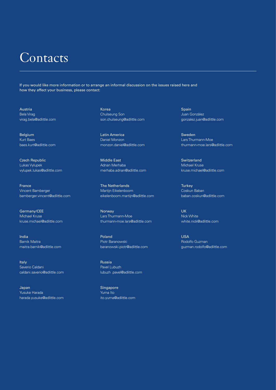## **Contacts**

If you would like more information or to arrange an informal discussion on the issues raised here and how they affect your business, please contact:

Austria Bela Virag virag.bela@adlittle.com

Belgium Kurt Baes baes.kurt@adlittle.com

Czech Republic Lukas Vylupek vylupek.lukas@adlittle.com

France Vincent Bamberger bamberger.vincent@adlittle.com

Germany/CEE Michael Kruse kruse.michael@adlittle.com

India Barnik Maitra maitra.barnik@adlittle.com

Italy Saverio Caldani caldani.saverio@adlittle.com

Japan Yusuke Harada harada.yusuke@adlittle.com Korea Chulseung Son son.chulseung@adlittle.com

Latin America Daniel Monzon monzon.daniel@adlittle.com

Middle East Adnan Merhaba merhaba.adnan@adlittle.com

The Netherlands Martijn Eikelenboom eikelenboom.martijn@adlittle.com

Norway Lars Thurmann-Moe thurmann-moe.lars@adlittle.com

Poland Piotr Baranowski baranowski.piotr@adlittle.com

Russia Pavel Lubuzh lubuzh .pavel@adlittle.com

Singapore Yuma Ito ito.yuma@adlittle.com Spain Juan Gonzàlez gonzalez.juan@adlittle.com

Sweden Lars Thurmann-Moe thurmann-moe.lars@adlittle.com

Switzerland Michael Kruse kruse.michael@adlittle.com

**Turkey** Coskun Baban baban.coskun@adlittle.com

UK Nick White white.nick@adlittle.com

USA Rodolfo Guzman guzman.rodolfo@adlittle.com